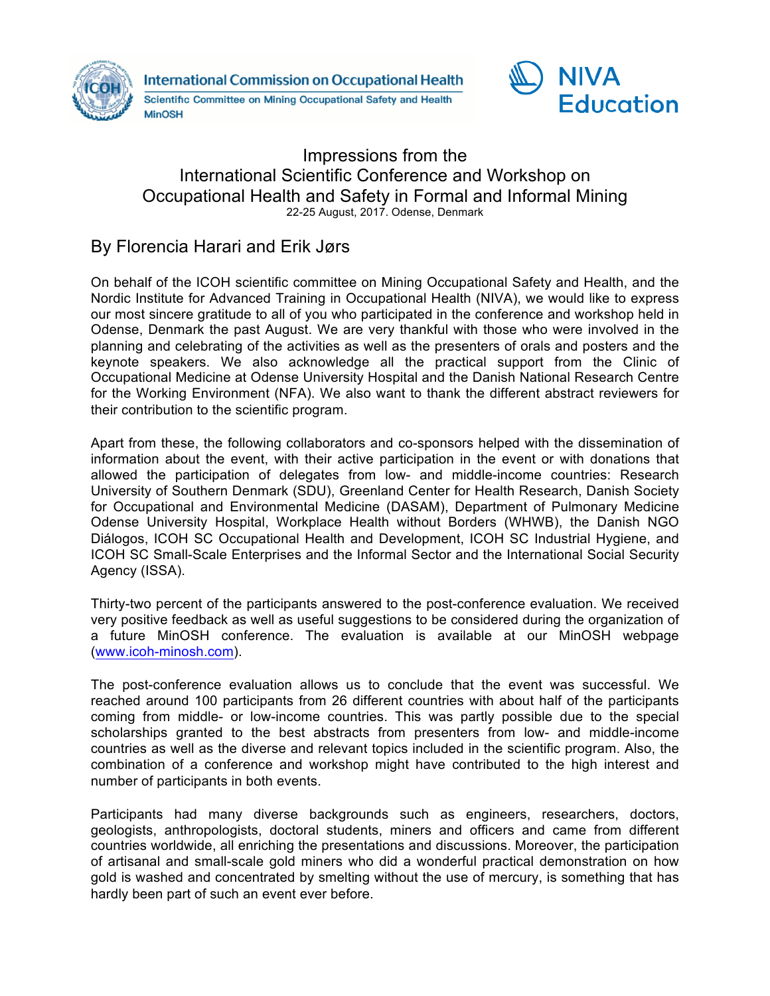

**International Commission on Occupational Health** Scientific Committee on Mining Occupational Safety and Health **MinOSH** 



## Impressions from the International Scientific Conference and Workshop on Occupational Health and Safety in Formal and Informal Mining 22-25 August, 2017. Odense, Denmark

## By Florencia Harari and Erik Jørs

On behalf of the ICOH scientific committee on Mining Occupational Safety and Health, and the Nordic Institute for Advanced Training in Occupational Health (NIVA), we would like to express our most sincere gratitude to all of you who participated in the conference and workshop held in Odense, Denmark the past August. We are very thankful with those who were involved in the planning and celebrating of the activities as well as the presenters of orals and posters and the keynote speakers. We also acknowledge all the practical support from the Clinic of Occupational Medicine at Odense University Hospital and the Danish National Research Centre for the Working Environment (NFA). We also want to thank the different abstract reviewers for their contribution to the scientific program.

Apart from these, the following collaborators and co-sponsors helped with the dissemination of information about the event, with their active participation in the event or with donations that allowed the participation of delegates from low- and middle-income countries: Research University of Southern Denmark (SDU), Greenland Center for Health Research, Danish Society for Occupational and Environmental Medicine (DASAM), Department of Pulmonary Medicine Odense University Hospital, Workplace Health without Borders (WHWB), the Danish NGO Diálogos, ICOH SC Occupational Health and Development, ICOH SC Industrial Hygiene, and ICOH SC Small-Scale Enterprises and the Informal Sector and the International Social Security Agency (ISSA).

Thirty-two percent of the participants answered to the post-conference evaluation. We received very positive feedback as well as useful suggestions to be considered during the organization of a future MinOSH conference. The evaluation is available at our MinOSH webpage (www.icoh-minosh.com).

The post-conference evaluation allows us to conclude that the event was successful. We reached around 100 participants from 26 different countries with about half of the participants coming from middle- or low-income countries. This was partly possible due to the special scholarships granted to the best abstracts from presenters from low- and middle-income countries as well as the diverse and relevant topics included in the scientific program. Also, the combination of a conference and workshop might have contributed to the high interest and number of participants in both events.

Participants had many diverse backgrounds such as engineers, researchers, doctors, geologists, anthropologists, doctoral students, miners and officers and came from different countries worldwide, all enriching the presentations and discussions. Moreover, the participation of artisanal and small-scale gold miners who did a wonderful practical demonstration on how gold is washed and concentrated by smelting without the use of mercury, is something that has hardly been part of such an event ever before.